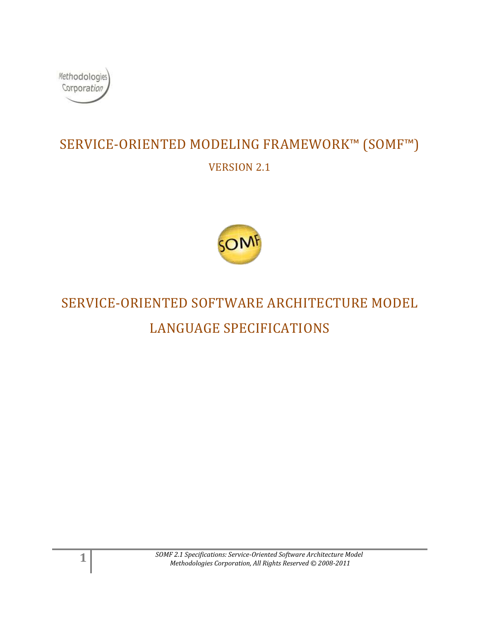

# SERVICE-ORIENTED MODELING FRAMEWORK™ (SOMF™) VERSION 2.1



# SERVICE-ORIENTED SOFTWARE ARCHITECTURE MODEL LANGUAGE SPECIFICATIONS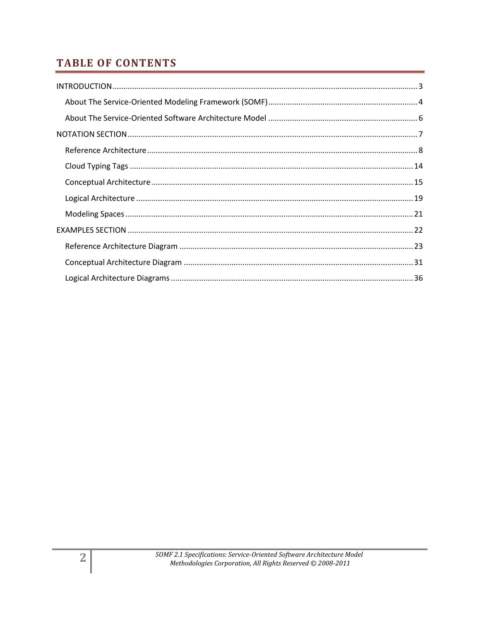## **TABLE OF CONTENTS**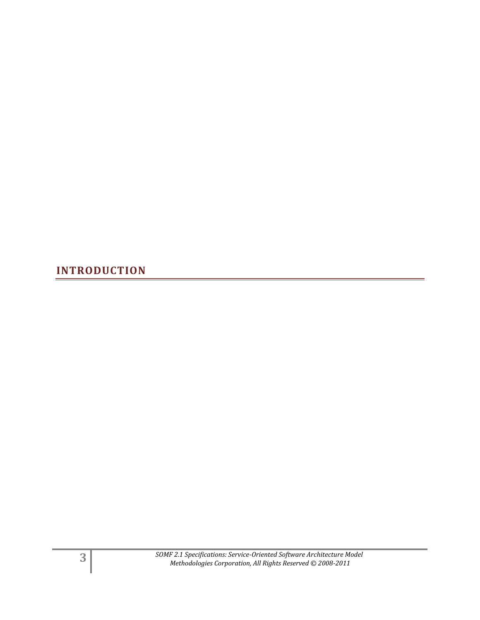<span id="page-2-0"></span>**INTRODUCTION**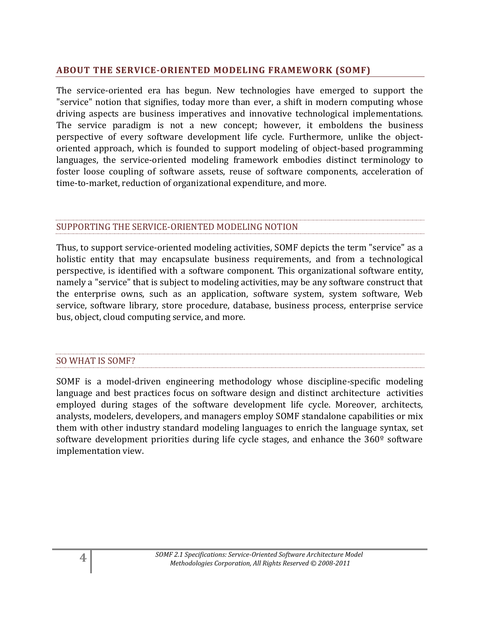## <span id="page-3-0"></span>**ABOUT THE SERVICE-ORIENTED MODELING FRAMEWORK (SOMF)**

The service-oriented era has begun. New technologies have emerged to support the "service" notion that signifies, today more than ever, a shift in modern computing whose driving aspects are business imperatives and innovative technological implementations. The service paradigm is not a new concept; however, it emboldens the business perspective of every software development life cycle. Furthermore, unlike the objectoriented approach, which is founded to support modeling of object-based programming languages, the service-oriented modeling framework embodies distinct terminology to foster loose coupling of software assets, reuse of software components, acceleration of time-to-market, reduction of organizational expenditure, and more.

#### SUPPORTING THE SERVICE-ORIENTED MODELING NOTION

Thus, to support service-oriented modeling activities, SOMF depicts the term "service" as a holistic entity that may encapsulate business requirements, and from a technological perspective, is identified with a software component. This organizational software entity, namely a "service" that is subject to modeling activities, may be any software construct that the enterprise owns, such as an application, software system, system software, Web service, software library, store procedure, database, business process, enterprise service bus, object, cloud computing service, and more.

#### SO WHAT IS SOMF?

SOMF is a model-driven engineering methodology whose discipline-specific modeling language and best practices focus on software design and distinct architecture activities employed during stages of the software development life cycle. Moreover, architects, analysts, modelers, developers, and managers employ SOMF standalone capabilities or mix them with other industry standard modeling languages to enrich the language syntax, set software development priorities during life cycle stages, and enhance the 360<sup>°</sup> software implementation view.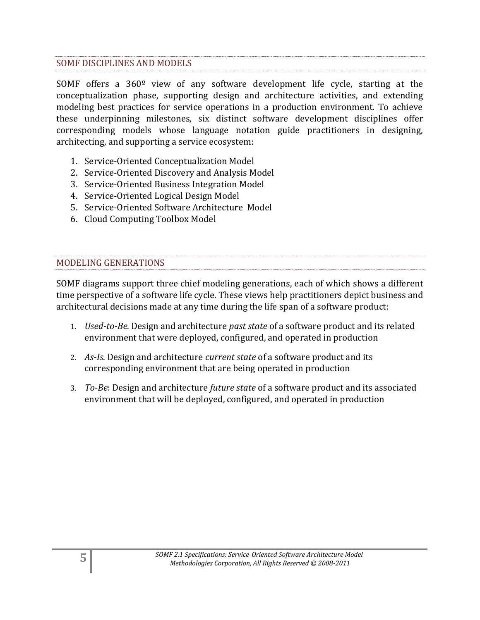#### SOMF DISCIPLINES AND MODELS

SOMF offers a 360º view of any software development life cycle, starting at the conceptualization phase, supporting design and architecture activities, and extending modeling best practices for service operations in a production environment. To achieve these underpinning milestones, six distinct software development disciplines offer corresponding models whose language notation guide practitioners in designing, architecting, and supporting a service ecosystem:

- 1. Service-Oriented Conceptualization Model
- 2. Service-Oriented Discovery and Analysis Model
- 3. Service-Oriented Business Integration Model
- 4. Service-Oriented Logical Design Model
- 5. Service-Oriented Software Architecture Model
- 6. Cloud Computing Toolbox Model

#### MODELING GENERATIONS

SOMF diagrams support three chief modeling generations, each of which shows a different time perspective of a software life cycle. These views help practitioners depict business and architectural decisions made at any time during the life span of a software product:

- 1. *Used-to-Be*. Design and architecture *past state* of a software product and its related environment that were deployed, configured, and operated in production
- 2. *As-Is*. Design and architecture *current state* of a software product and its corresponding environment that are being operated in production
- 3. *To-Be*: Design and architecture *future state* of a software product and its associated environment that will be deployed, configured, and operated in production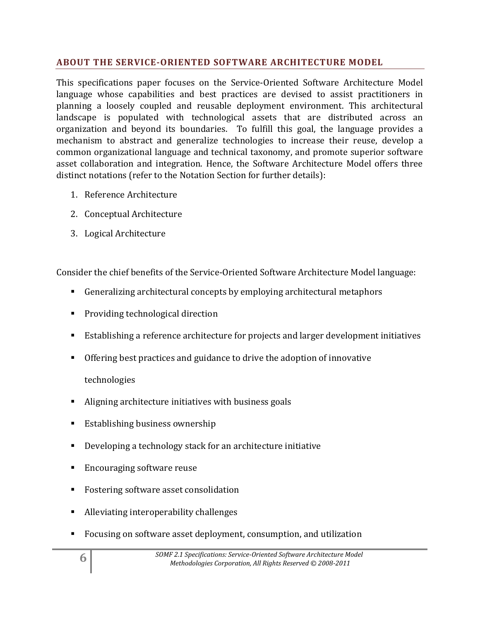## <span id="page-5-0"></span>**ABOUT THE SERVICE-ORIENTED SOFTWARE ARCHITECTURE MODEL**

This specifications paper focuses on the Service-Oriented Software Architecture Model language whose capabilities and best practices are devised to assist practitioners in planning a loosely coupled and reusable deployment environment. This architectural landscape is populated with technological assets that are distributed across an organization and beyond its boundaries. To fulfill this goal, the language provides a mechanism to abstract and generalize technologies to increase their reuse, develop a common organizational language and technical taxonomy, and promote superior software asset collaboration and integration. Hence, the Software Architecture Model offers three distinct notations (refer to the Notation Section for further details):

- 1. Reference Architecture
- 2. Conceptual Architecture
- 3. Logical Architecture

Consider the chief benefits of the Service-Oriented Software Architecture Model language:

- Generalizing architectural concepts by employing architectural metaphors
- **Providing technological direction**
- Establishing a reference architecture for projects and larger development initiatives
- Offering best practices and guidance to drive the adoption of innovative technologies
- Aligning architecture initiatives with business goals
- **Establishing business ownership**
- Developing a technology stack for an architecture initiative
- Encouraging software reuse
- **Fostering software asset consolidation**
- Alleviating interoperability challenges
- Focusing on software asset deployment, consumption, and utilization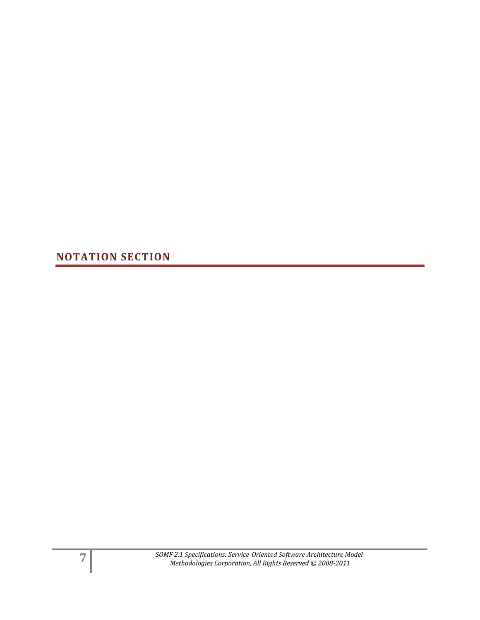<span id="page-6-0"></span>**NOTATION SECTION**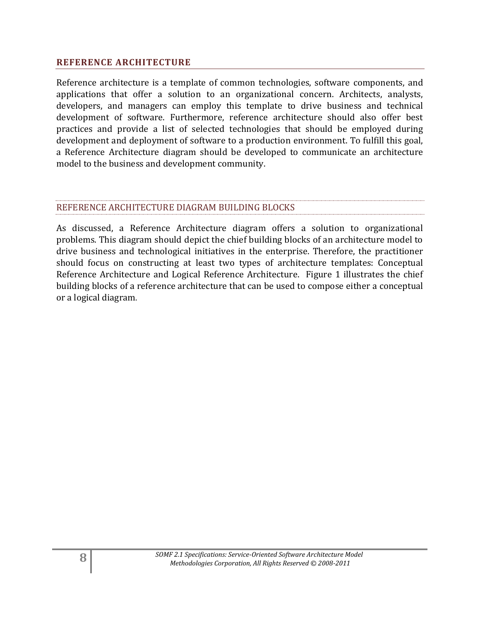#### <span id="page-7-0"></span>**REFERENCE ARCHITECTURE**

Reference architecture is a template of common technologies, software components, and applications that offer a solution to an organizational concern. Architects, analysts, developers, and managers can employ this template to drive business and technical development of software. Furthermore, reference architecture should also offer best practices and provide a list of selected technologies that should be employed during development and deployment of software to a production environment. To fulfill this goal, a Reference Architecture diagram should be developed to communicate an architecture model to the business and development community.

#### REFERENCE ARCHITECTURE DIAGRAM BUILDING BLOCKS

As discussed, a Reference Architecture diagram offers a solution to organizational problems. This diagram should depict the chief building blocks of an architecture model to drive business and technological initiatives in the enterprise. Therefore, the practitioner should focus on constructing at least two types of architecture templates: Conceptual Reference Architecture and Logical Reference Architecture. Figure 1 illustrates the chief building blocks of a reference architecture that can be used to compose either a conceptual or a logical diagram.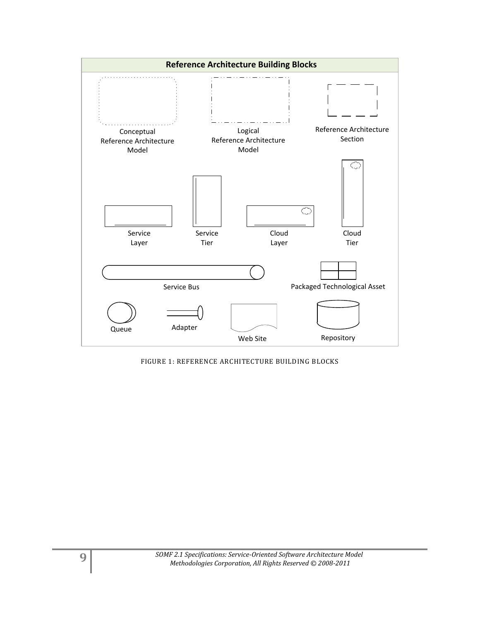

FIGURE 1: REFERENCE ARCHITECTURE BUILDING BLOCKS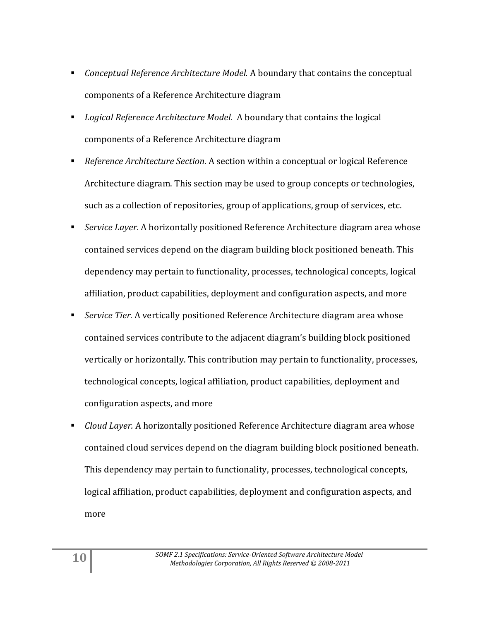- *Conceptual Reference Architecture Model.* A boundary that contains the conceptual components of a Reference Architecture diagram
- *Logical Reference Architecture Model.* A boundary that contains the logical components of a Reference Architecture diagram
- *Reference Architecture Section.* A section within a conceptual or logical Reference Architecture diagram. This section may be used to group concepts or technologies, such as a collection of repositories, group of applications, group of services, etc.
- *Service Layer.* A horizontally positioned Reference Architecture diagram area whose contained services depend on the diagram building block positioned beneath. This dependency may pertain to functionality, processes, technological concepts, logical affiliation, product capabilities, deployment and configuration aspects, and more
- *Service Tier.* A vertically positioned Reference Architecture diagram area whose contained services contribute to the adjacent diagram's building block positioned vertically or horizontally. This contribution may pertain to functionality, processes, technological concepts, logical affiliation, product capabilities, deployment and configuration aspects, and more
- *Cloud Layer.* A horizontally positioned Reference Architecture diagram area whose contained cloud services depend on the diagram building block positioned beneath. This dependency may pertain to functionality, processes, technological concepts, logical affiliation, product capabilities, deployment and configuration aspects, and more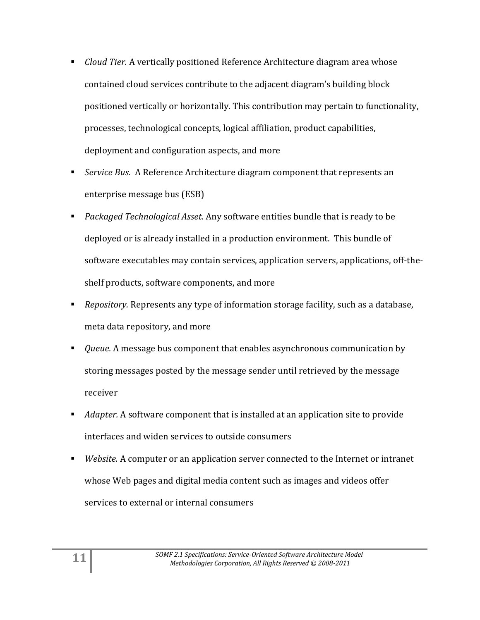- *Cloud Tier.* A vertically positioned Reference Architecture diagram area whose contained cloud services contribute to the adjacent diagram's building block positioned vertically or horizontally. This contribution may pertain to functionality, processes, technological concepts, logical affiliation, product capabilities, deployment and configuration aspects, and more
- *Service Bus.* A Reference Architecture diagram component that represents an enterprise message bus (ESB)
- *Packaged Technological Asset.* Any software entities bundle that is ready to be deployed or is already installed in a production environment. This bundle of software executables may contain services, application servers, applications, off-theshelf products, software components, and more
- *Repository.* Represents any type of information storage facility, such as a database, meta data repository, and more
- *Queue.* A message bus component that enables asynchronous communication by storing messages posted by the message sender until retrieved by the message receiver
- *Adapter.* A software component that is installed at an application site to provide interfaces and widen services to outside consumers
- *Website.* A computer or an application server connected to the Internet or intranet whose Web pages and digital media content such as images and videos offer services to external or internal consumers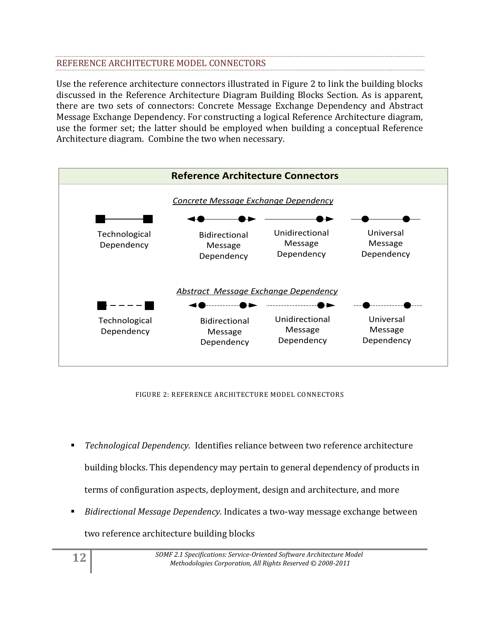## REFERENCE ARCHITECTURE MODEL CONNECTORS

Use the reference architecture connectors illustrated in Figure 2 to link the building blocks discussed in the Reference Architecture Diagram Building Blocks Section. As is apparent, there are two sets of connectors: Concrete Message Exchange Dependency and Abstract Message Exchange Dependency. For constructing a logical Reference Architecture diagram, use the former set; the latter should be employed when building a conceptual Reference Architecture diagram. Combine the two when necessary.



FIGURE 2: REFERENCE ARCHITECTURE MODEL CONNECTORS

- *Technological Dependency.* Identifies reliance between two reference architecture building blocks. This dependency may pertain to general dependency of products in terms of configuration aspects, deployment, design and architecture, and more
- *Bidirectional Message Dependency.* Indicates a two-way message exchange between

two reference architecture building blocks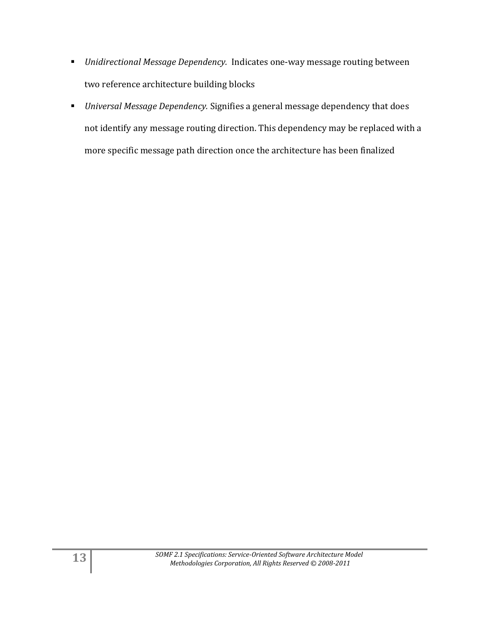- *Unidirectional Message Dependency.* Indicates one-way message routing between two reference architecture building blocks
- *Universal Message Dependency.* Signifies a general message dependency that does not identify any message routing direction. This dependency may be replaced with a more specific message path direction once the architecture has been finalized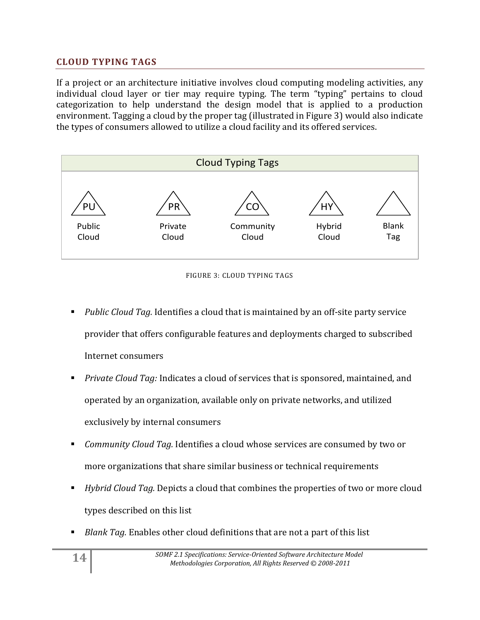## <span id="page-13-0"></span>**CLOUD TYPING TAGS**

If a project or an architecture initiative involves cloud computing modeling activities, any individual cloud layer or tier may require typing. The term "typing" pertains to cloud categorization to help understand the design model that is applied to a production environment. Tagging a cloud by the proper tag (illustrated in Figure 3) would also indicate the types of consumers allowed to utilize a cloud facility and its offered services.

![](_page_13_Figure_2.jpeg)

FIGURE 3: CLOUD TYPING TAGS

- *Public Cloud Tag.* Identifies a cloud that is maintained by an off-site party service provider that offers configurable features and deployments charged to subscribed Internet consumers
- *Private Cloud Tag:* Indicates a cloud of services that is sponsored, maintained, and operated by an organization, available only on private networks, and utilized exclusively by internal consumers
- *Community Cloud Tag.* Identifies a cloud whose services are consumed by two or more organizations that share similar business or technical requirements
- *Hybrid Cloud Tag.* Depicts a cloud that combines the properties of two or more cloud types described on this list
- *Blank Tag.* Enables other cloud definitions that are not a part of this list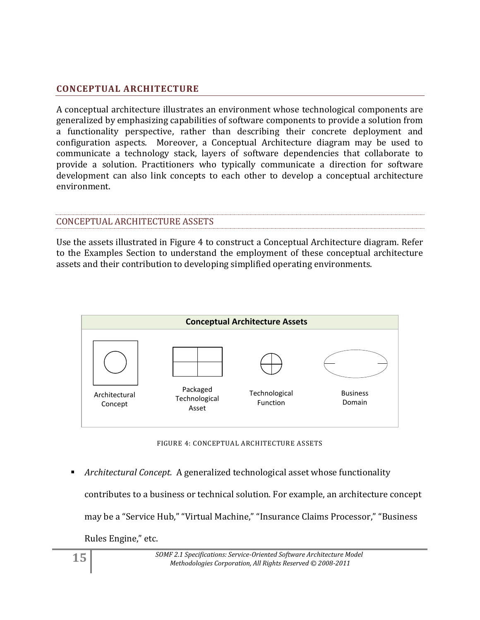## <span id="page-14-0"></span>**CONCEPTUAL ARCHITECTURE**

A conceptual architecture illustrates an environment whose technological components are generalized by emphasizing capabilities of software components to provide a solution from a functionality perspective, rather than describing their concrete deployment and configuration aspects. Moreover, a Conceptual Architecture diagram may be used to communicate a technology stack, layers of software dependencies that collaborate to provide a solution. Practitioners who typically communicate a direction for software development can also link concepts to each other to develop a conceptual architecture environment.

## CONCEPTUAL ARCHITECTURE ASSETS

Use the assets illustrated in Figure 4 to construct a Conceptual Architecture diagram. Refer to the Examples Section to understand the employment of these conceptual architecture assets and their contribution to developing simplified operating environments.

![](_page_14_Figure_4.jpeg)

FIGURE 4: CONCEPTUAL ARCHITECTURE ASSETS

 *Architectural Concept.* A generalized technological asset whose functionality contributes to a business or technical solution. For example, an architecture concept may be a "Service Hub," "Virtual Machine," "Insurance Claims Processor," "Business Rules Engine," etc.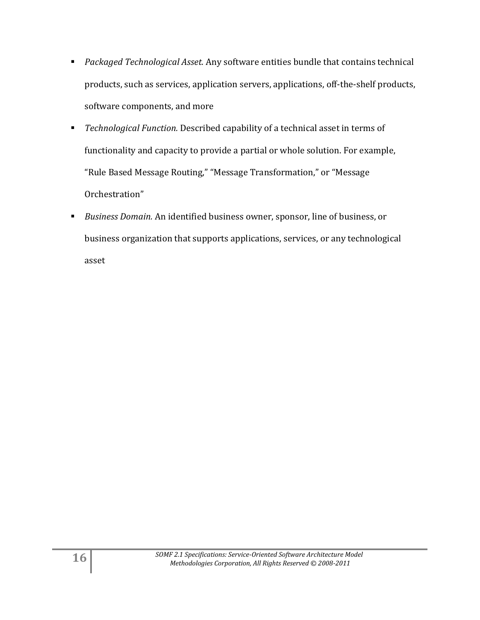- *Packaged Technological Asset.* Any software entities bundle that contains technical products, such as services, application servers, applications, off-the-shelf products, software components, and more
- *Technological Function.* Described capability of a technical asset in terms of functionality and capacity to provide a partial or whole solution. For example, "Rule Based Message Routing," "Message Transformation," or "Message Orchestration"
- *Business Domain.* An identified business owner, sponsor, line of business, or business organization that supports applications, services, or any technological asset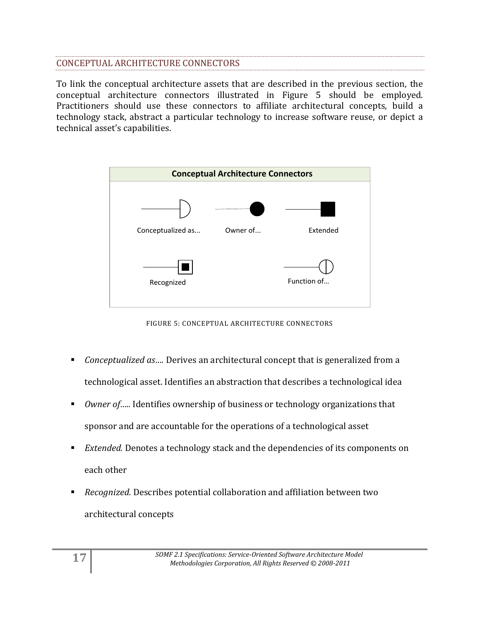## CONCEPTUAL ARCHITECTURE CONNECTORS

To link the conceptual architecture assets that are described in the previous section, the conceptual architecture connectors illustrated in Figure 5 should be employed. Practitioners should use these connectors to affiliate architectural concepts, build a technology stack, abstract a particular technology to increase software reuse, or depict a technical asset's capabilities.

![](_page_16_Figure_2.jpeg)

FIGURE 5: CONCEPTUAL ARCHITECTURE CONNECTORS

- *Conceptualized as...*. Derives an architectural concept that is generalized from a technological asset. Identifies an abstraction that describes a technological idea
- *Owner of…..* Identifies ownership of business or technology organizations that sponsor and are accountable for the operations of a technological asset
- *Extended.* Denotes a technology stack and the dependencies of its components on each other
- *Recognized.* Describes potential collaboration and affiliation between two architectural concepts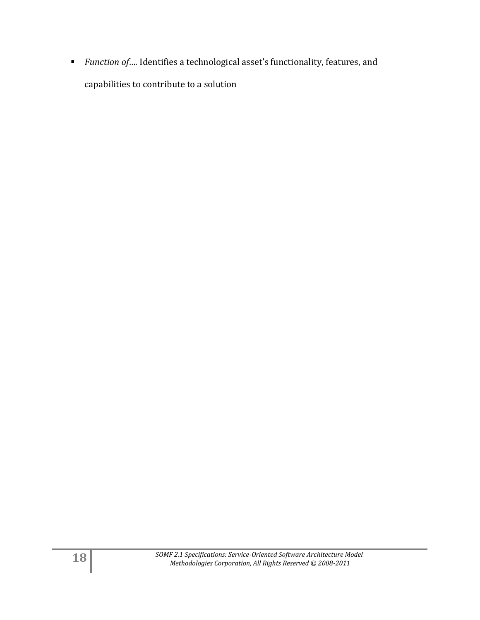■ *Function of...*. Identifies a technological asset's functionality, features, and capabilities to contribute to a solution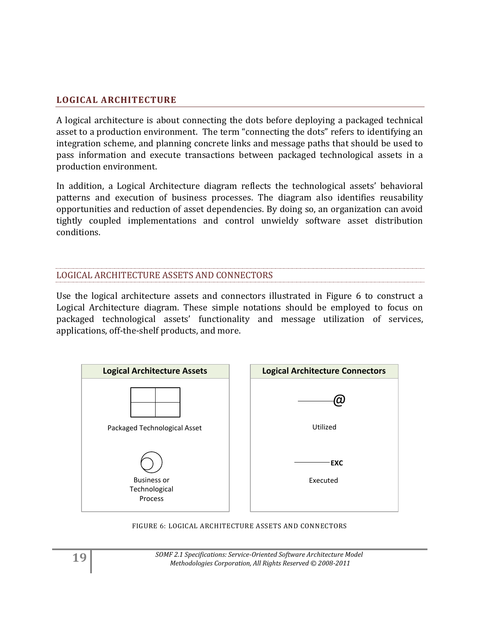## <span id="page-18-0"></span>**LOGICAL ARCHITECTURE**

A logical architecture is about connecting the dots before deploying a packaged technical asset to a production environment. The term "connecting the dots" refers to identifying an integration scheme, and planning concrete links and message paths that should be used to pass information and execute transactions between packaged technological assets in a production environment.

In addition, a Logical Architecture diagram reflects the technological assets' behavioral patterns and execution of business processes. The diagram also identifies reusability opportunities and reduction of asset dependencies. By doing so, an organization can avoid tightly coupled implementations and control unwieldy software asset distribution conditions.

#### LOGICAL ARCHITECTURE ASSETS AND CONNECTORS

Use the logical architecture assets and connectors illustrated in Figure 6 to construct a Logical Architecture diagram. These simple notations should be employed to focus on packaged technological assets' functionality and message utilization of services, applications, off-the-shelf products, and more.

![](_page_18_Figure_5.jpeg)

FIGURE 6: LOGICAL ARCHITECTURE ASSETS AND CONNECTORS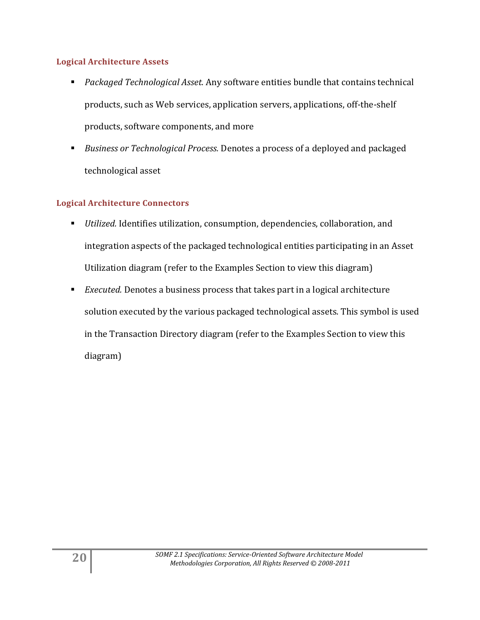#### **Logical Architecture Assets**

- *Packaged Technological Asset.* Any software entities bundle that contains technical products, such as Web services, application servers, applications, off-the-shelf products, software components, and more
- *Business or Technological Process.* Denotes a process of a deployed and packaged technological asset

## **Logical Architecture Connectors**

- *Utilized.* Identifies utilization, consumption, dependencies, collaboration, and integration aspects of the packaged technological entities participating in an Asset Utilization diagram (refer to the Examples Section to view this diagram)
- *Executed.* Denotes a business process that takes part in a logical architecture solution executed by the various packaged technological assets. This symbol is used in the Transaction Directory diagram (refer to the Examples Section to view this diagram)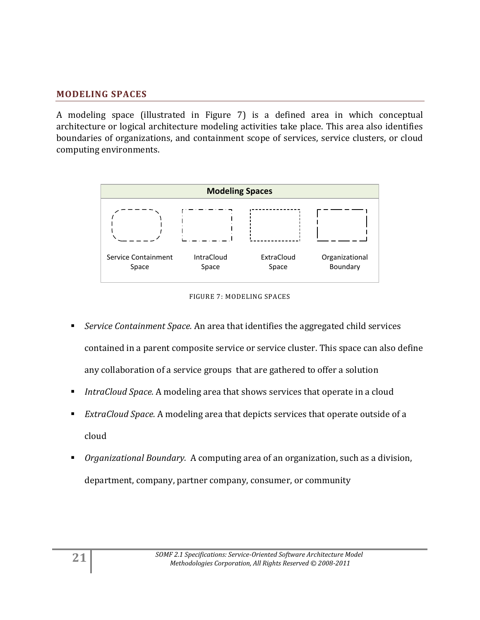## <span id="page-20-0"></span>**MODELING SPACES**

A modeling space (illustrated in Figure 7) is a defined area in which conceptual architecture or logical architecture modeling activities take place. This area also identifies boundaries of organizations, and containment scope of services, service clusters, or cloud computing environments.

![](_page_20_Figure_2.jpeg)

FIGURE 7: MODELING SPACES

- *Service Containment Space.* An area that identifies the aggregated child services contained in a parent composite service or service cluster. This space can also define any collaboration of a service groups that are gathered to offer a solution
- *IntraCloud Space.* A modeling area that shows services that operate in a cloud
- *ExtraCloud Space.* A modeling area that depicts services that operate outside of a cloud
- *Organizational Boundary.* A computing area of an organization, such as a division, department, company, partner company, consumer, or community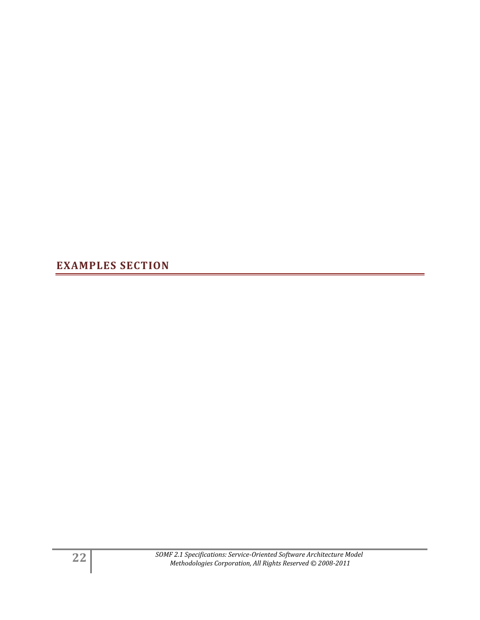<span id="page-21-0"></span>**EXAMPLES SECTION**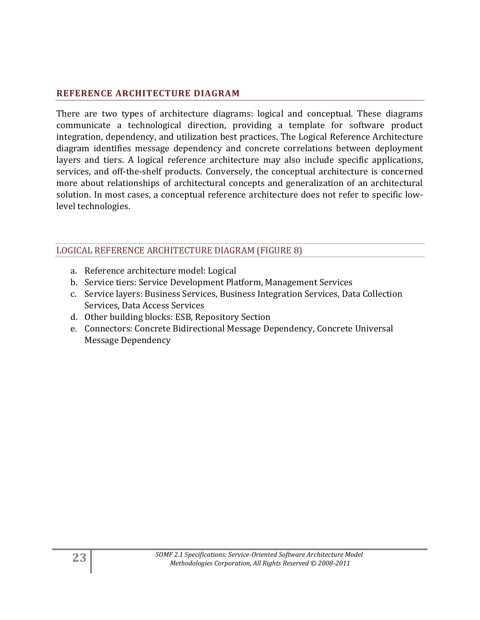## <span id="page-22-0"></span>**REFERENCE ARCHITECTURE DIAGRAM**

There are two types of architecture diagrams: logical and conceptual. These diagrams communicate a technological direction, providing a template for software product integration, dependency, and utilization best practices. The Logical Reference Architecture diagram identifies message dependency and concrete correlations between deployment layers and tiers. A logical reference architecture may also include specific applications, services, and off-the-shelf products. Conversely, the conceptual architecture is concerned more about relationships of architectural concepts and generalization of an architectural solution. In most cases, a conceptual reference architecture does not refer to specific lowlevel technologies.

## LOGICAL REFERENCE ARCHITECTURE DIAGRAM (FIGURE 8)

- a. Reference architecture model: Logical
- b. Service tiers: Service Development Platform, Management Services
- c. Service layers: Business Services, Business Integration Services, Data Collection Services, Data Access Services
- d. Other building blocks: ESB, Repository Section
- e. Connectors: Concrete Bidirectional Message Dependency, Concrete Universal Message Dependency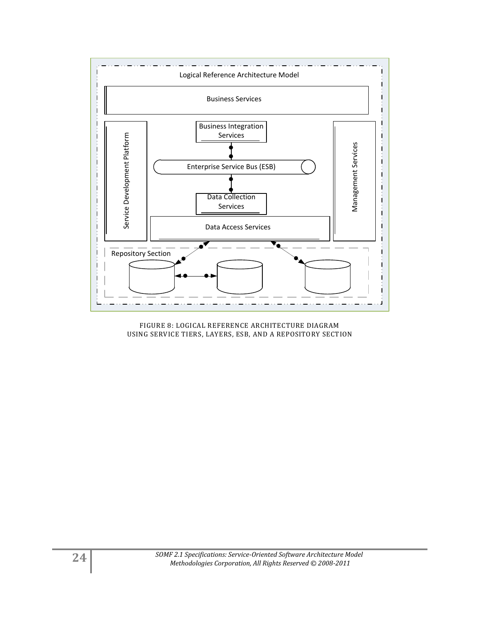![](_page_23_Figure_0.jpeg)

FIGURE 8: LOGICAL REFERENCE ARCHITECTURE DIAGRAM USING SERVICE TIERS, LAYERS, ESB, AND A REPOSITORY SECTION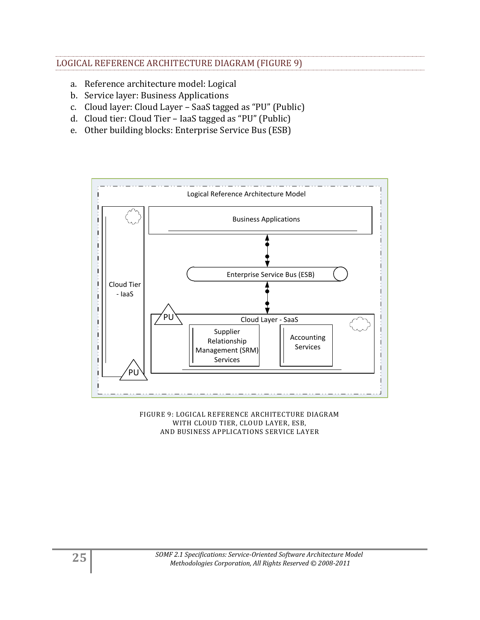## LOGICAL REFERENCE ARCHITECTURE DIAGRAM (FIGURE 9)

- a. Reference architecture model: Logical
- b. Service layer: Business Applications
- c. Cloud layer: Cloud Layer SaaS tagged as "PU" (Public)
- d. Cloud tier: Cloud Tier IaaS tagged as "PU" (Public)
- e. Other building blocks: Enterprise Service Bus (ESB)

![](_page_24_Figure_6.jpeg)

FIGURE 9: LOGICAL REFERENCE ARCHITECTURE DIAGRAM WITH CLOUD TIER, CLOUD LAYER, ESB, AND BUSINESS APPLICATIONS SERVICE LAYER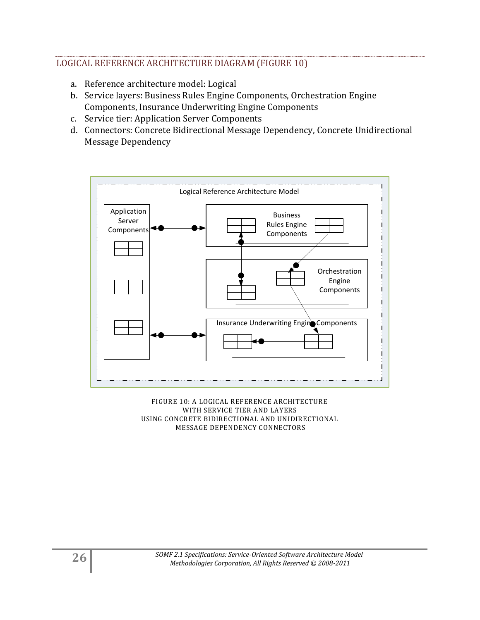## LOGICAL REFERENCE ARCHITECTURE DIAGRAM (FIGURE 10)

- a. Reference architecture model: Logical
- b. Service layers: Business Rules Engine Components, Orchestration Engine Components, Insurance Underwriting Engine Components
- c. Service tier: Application Server Components
- d. Connectors: Concrete Bidirectional Message Dependency, Concrete Unidirectional Message Dependency

![](_page_25_Figure_5.jpeg)

![](_page_25_Figure_6.jpeg)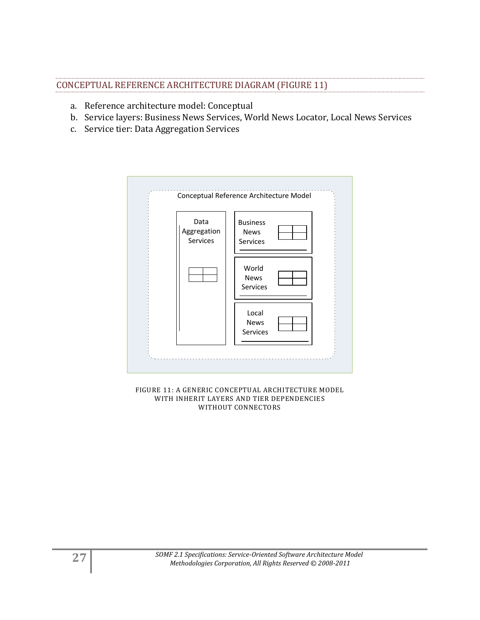## CONCEPTUAL REFERENCE ARCHITECTURE DIAGRAM (FIGURE 11)

- a. Reference architecture model: Conceptual
- b. Service layers: Business News Services, World News Locator, Local News Services
- c. Service tier: Data Aggregation Services

![](_page_26_Figure_4.jpeg)

FIGURE 11: A GENERIC CONCEPTUAL ARCHITECTURE MODEL WITH INHERIT LAYERS AND TIER DEPENDENCIES WITHOUT CONNECTORS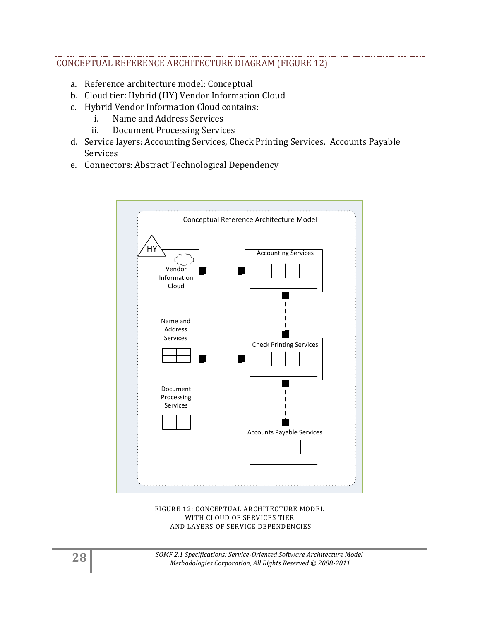## CONCEPTUAL REFERENCE ARCHITECTURE DIAGRAM (FIGURE 12)

- a. Reference architecture model: Conceptual
- b. Cloud tier: Hybrid (HY) Vendor Information Cloud
- c. Hybrid Vendor Information Cloud contains:
	- i. Name and Address Services
	- ii. Document Processing Services
- d. Service layers: Accounting Services, Check Printing Services, Accounts Payable Services
- e. Connectors: Abstract Technological Dependency

![](_page_27_Figure_8.jpeg)

#### FIGURE 12: CONCEPTUAL ARCHITECTURE MODEL WITH CLOUD OF SERVICES TIER AND LAYERS OF SERVICE DEPENDENCIES

**28** *SOMF 2.1 Specifications: Service-Oriented Software Architecture Model Methodologies Corporation, All Rights Reserved © 2008-2011*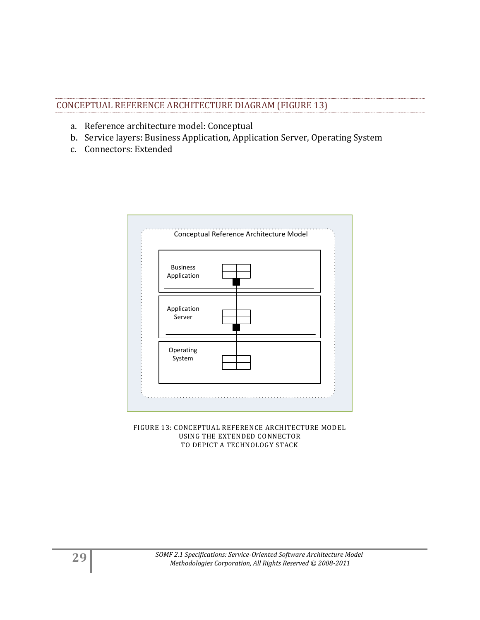| CONCEPTUAL REFERENCE ARCHITECTURE DIAGRAM (FIGURE 13) |  |
|-------------------------------------------------------|--|

- a. Reference architecture model: Conceptual
- b. Service layers: Business Application, Application Server, Operating System
- c. Connectors: Extended

![](_page_28_Figure_4.jpeg)

FIGURE 13: CONCEPTUAL REFERENCE ARCHITECTURE MODEL USING THE EXTENDED CONNECTOR TO DEPICT A TECHNOLOGY STACK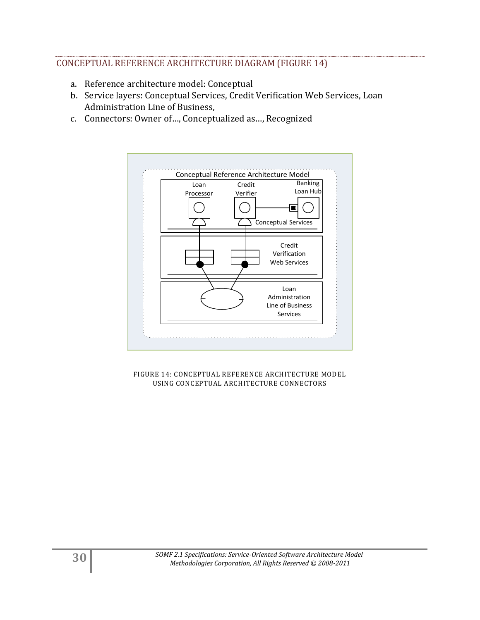## CONCEPTUAL REFERENCE ARCHITECTURE DIAGRAM (FIGURE 14)

- a. Reference architecture model: Conceptual
- b. Service layers: Conceptual Services, Credit Verification Web Services, Loan Administration Line of Business,
- c. Connectors: Owner of…, Conceptualized as…, Recognized

![](_page_29_Figure_4.jpeg)

FIGURE 14: CONCEPTUAL REFERENCE ARCHITECTURE MODEL USING CONCEPTUAL ARCHITECTURE CONNECTORS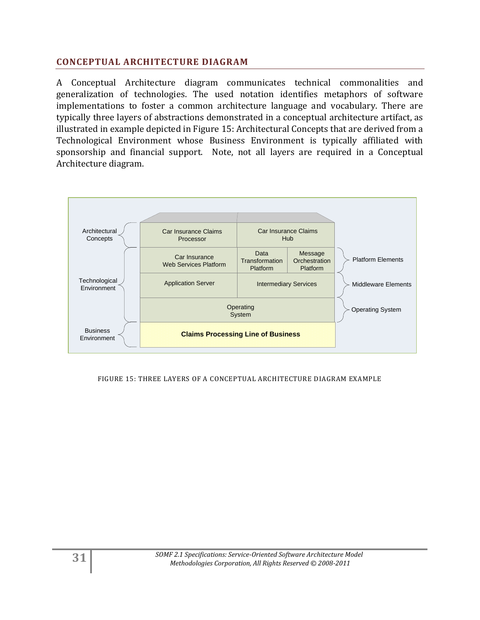## <span id="page-30-0"></span>**CONCEPTUAL ARCHITECTURE DIAGRAM**

A Conceptual Architecture diagram communicates technical commonalities and generalization of technologies. The used notation identifies metaphors of software implementations to foster a common architecture language and vocabulary. There are typically three layers of abstractions demonstrated in a conceptual architecture artifact, as illustrated in example depicted in Figure 15: Architectural Concepts that are derived from a Technological Environment whose Business Environment is typically affiliated with sponsorship and financial support. Note, not all layers are required in a Conceptual Architecture diagram.

![](_page_30_Figure_2.jpeg)

#### FIGURE 15: THREE LAYERS OF A CONCEPTUAL ARCHITECTURE DIAGRAM EXAMPLE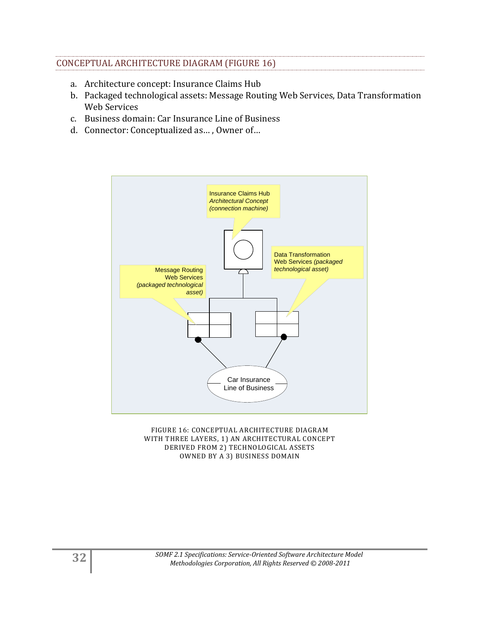## CONCEPTUAL ARCHITECTURE DIAGRAM (FIGURE 16)

- a. Architecture concept: Insurance Claims Hub
- b. Packaged technological assets: Message Routing Web Services, Data Transformation Web Services
- c. Business domain: Car Insurance Line of Business
- d. Connector: Conceptualized as… , Owner of…

![](_page_31_Figure_5.jpeg)

FIGURE 16: CONCEPTUAL ARCHITECTURE DIAGRAM WITH THREE LAYERS, 1) AN ARCHITECTURAL CONCEPT DERIVED FROM 2) TECHNOLOGICAL ASSETS OWNED BY A 3) BUSINESS DOMAIN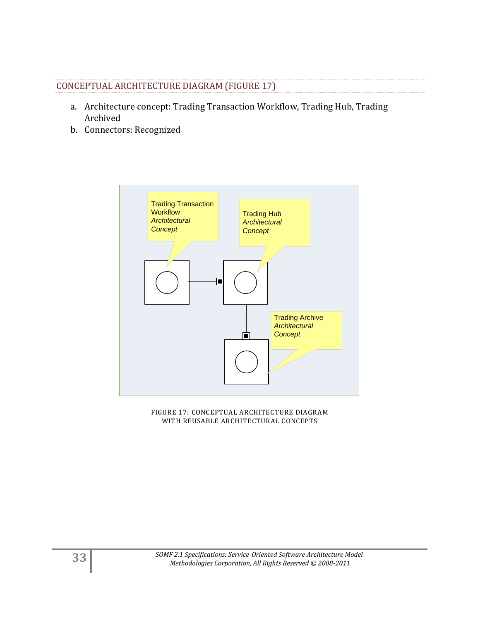## CONCEPTUAL ARCHITECTURE DIAGRAM (FIGURE 17)

- a. Architecture concept: Trading Transaction Workflow, Trading Hub, Trading Archived
- b. Connectors: Recognized

![](_page_32_Figure_3.jpeg)

FIGURE 17: CONCEPTUAL ARCHITECTURE DIAGRAM WITH REUSABLE ARCHITECTURAL CONCEPTS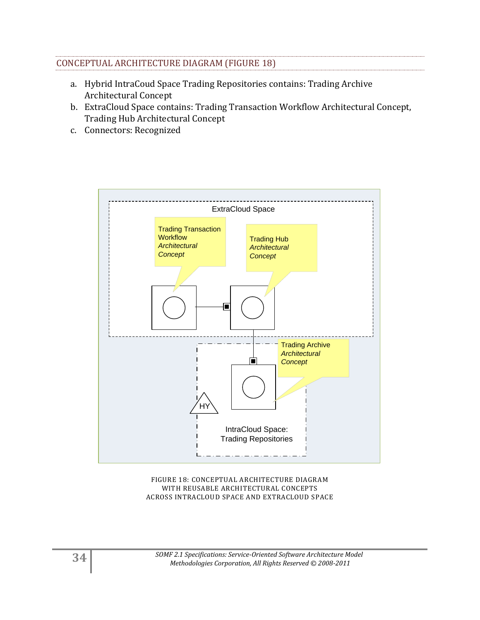## CONCEPTUAL ARCHITECTURE DIAGRAM (FIGURE 18)

- a. Hybrid IntraCoud Space Trading Repositories contains: Trading Archive Architectural Concept
- b. ExtraCloud Space contains: Trading Transaction Workflow Architectural Concept, Trading Hub Architectural Concept
- c. Connectors: Recognized

![](_page_33_Figure_4.jpeg)

FIGURE 18: CONCEPTUAL ARCHITECTURE DIAGRAM WITH REUSABLE ARCHITECTURAL CONCEPTS ACROSS INTRACLOUD SPACE AND EXTRACLOUD SPACE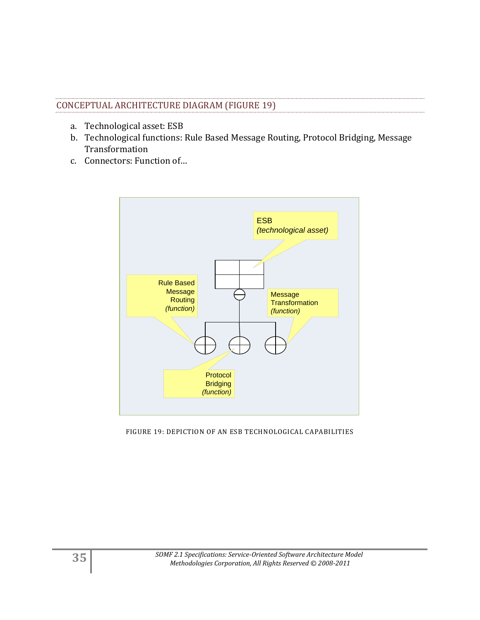## CONCEPTUAL ARCHITECTURE DIAGRAM (FIGURE 19)

- a. Technological asset: ESB
- b. Technological functions: Rule Based Message Routing, Protocol Bridging, Message Transformation
- c. Connectors: Function of…

![](_page_34_Figure_4.jpeg)

FIGURE 19: DEPICTION OF AN ESB TECHNOLOGICAL CAPABILITIES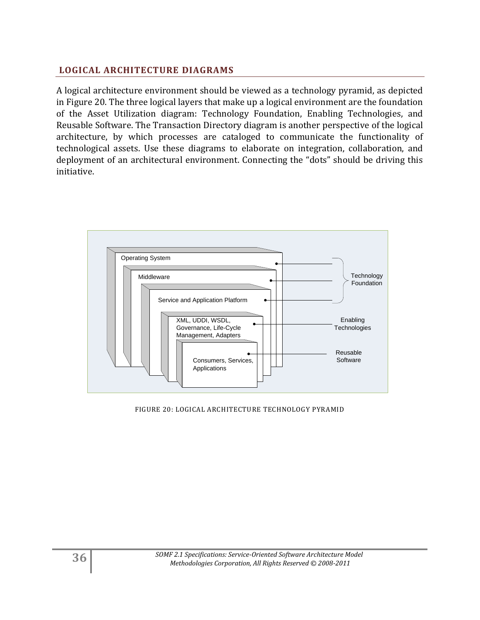## <span id="page-35-0"></span>**LOGICAL ARCHITECTURE DIAGRAMS**

A logical architecture environment should be viewed as a technology pyramid, as depicted in Figure 20. The three logical layers that make up a logical environment are the foundation of the Asset Utilization diagram: Technology Foundation, Enabling Technologies, and Reusable Software. The Transaction Directory diagram is another perspective of the logical architecture, by which processes are cataloged to communicate the functionality of technological assets. Use these diagrams to elaborate on integration, collaboration, and deployment of an architectural environment. Connecting the "dots" should be driving this initiative.

![](_page_35_Figure_2.jpeg)

FIGURE 20: LOGICAL ARCHITECTURE TECHNOLOGY PYRAMID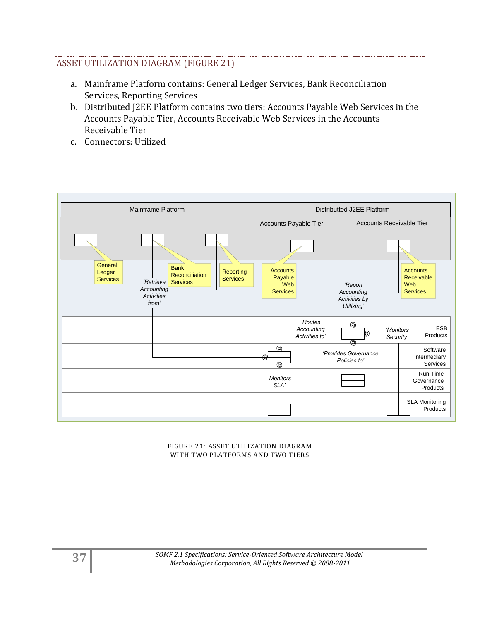## ASSET UTILIZATION DIAGRAM (FIGURE 21)

- a. Mainframe Platform contains: General Ledger Services, Bank Reconciliation Services, Reporting Services
- b. Distributed J2EE Platform contains two tiers: Accounts Payable Web Services in the Accounts Payable Tier, Accounts Receivable Web Services in the Accounts Receivable Tier
- c. Connectors: Utilized

![](_page_36_Figure_4.jpeg)

FIGURE 21: ASSET UTILIZATION DIAGRAM WITH TWO PLATFORMS AND TWO TIERS